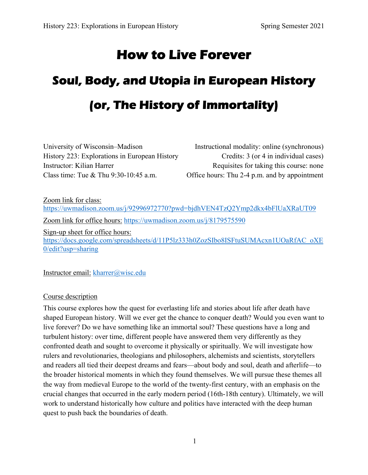# **How to Live Forever**

# **Soul, Body, and Utopia in European History (or, The History of Immortality)**

University of Wisconsin–Madison Instructional modality: online (synchronous) History 223: Explorations in European History Credits: 3 (or 4 in individual cases) Instructor: Kilian Harrer Requisites for taking this course: none Class time: Tue & Thu 9:30-10:45 a.m. Office hours: Thu 2-4 p.m. and by appointment

Zoom link for class: https://uwmadison.zoom.us/j/92996972770?pwd=bjdhVEN4TzQ2Ymp2dkx4bFlUaXRaUT09 Zoom link for office hours: https://uwmadison.zoom.us/j/8179575590

Sign-up sheet for office hours: https://docs.google.com/spreadsheets/d/11P5lz333h0ZozSIbo8ISFtuSUMAcxn1UOaRfAC\_oXE 0/edit?usp=sharing

Instructor email: kharrer@wisc.edu

#### Course description

This course explores how the quest for everlasting life and stories about life after death have shaped European history. Will we ever get the chance to conquer death? Would you even want to live forever? Do we have something like an immortal soul? These questions have a long and turbulent history: over time, different people have answered them very differently as they confronted death and sought to overcome it physically or spiritually. We will investigate how rulers and revolutionaries, theologians and philosophers, alchemists and scientists, storytellers and readers all tied their deepest dreams and fears—about body and soul, death and afterlife—to the broader historical moments in which they found themselves. We will pursue these themes all the way from medieval Europe to the world of the twenty-first century, with an emphasis on the crucial changes that occurred in the early modern period (16th-18th century). Ultimately, we will work to understand historically how culture and politics have interacted with the deep human quest to push back the boundaries of death.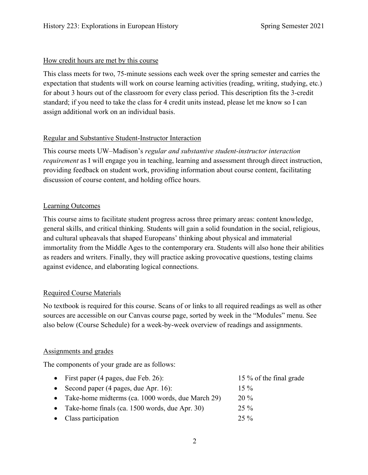## How credit hours are met by this course

This class meets for two, 75-minute sessions each week over the spring semester and carries the expectation that students will work on course learning activities (reading, writing, studying, etc.) for about 3 hours out of the classroom for every class period. This description fits the 3-credit standard; if you need to take the class for 4 credit units instead, please let me know so I can assign additional work on an individual basis.

# Regular and Substantive Student-Instructor Interaction

This course meets UW–Madison's *regular and substantive student-instructor interaction requirement* as I will engage you in teaching, learning and assessment through direct instruction, providing feedback on student work, providing information about course content, facilitating discussion of course content, and holding office hours.

# Learning Outcomes

This course aims to facilitate student progress across three primary areas: content knowledge, general skills, and critical thinking. Students will gain a solid foundation in the social, religious, and cultural upheavals that shaped Europeans' thinking about physical and immaterial immortality from the Middle Ages to the contemporary era. Students will also hone their abilities as readers and writers. Finally, they will practice asking provocative questions, testing claims against evidence, and elaborating logical connections.

# Required Course Materials

No textbook is required for this course. Scans of or links to all required readings as well as other sources are accessible on our Canvas course page, sorted by week in the "Modules" menu. See also below (Course Schedule) for a week-by-week overview of readings and assignments.

# Assignments and grades

The components of your grade are as follows:

| • First paper (4 pages, due Feb. 26):                     | 15 % of the final grade |
|-----------------------------------------------------------|-------------------------|
| • Second paper $(4 \text{ pages}, \text{due Apr. } 16)$ : | $15\%$                  |
| • Take-home midterms (ca. 1000 words, due March 29)       | $20\%$                  |
| • Take-home finals (ca. 1500 words, due Apr. 30)          | $25\%$                  |
| • Class participation                                     | $25\%$                  |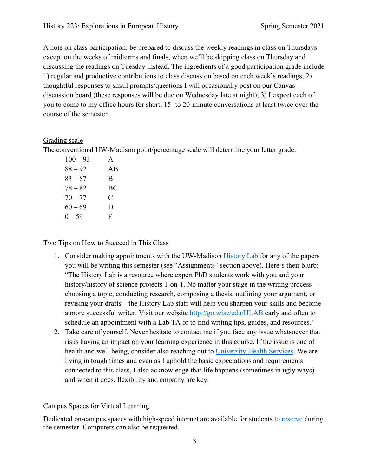A note on class participation: be prepared to discuss the weekly readings in class on Thursdays except on the weeks of midterms and finals, when we'll be skipping class on Thursday and discussing the readings on Tuesday instead. The ingredients of a good participation grade include 1) regular and productive contributions to class discussion based on each week's readings; 2) thoughtful responses to small prompts/questions I will occasionally post on our Canvas discussion board (these responses will be due on Wednesday late at night); 3) I expect each of you to come to my office hours for short, 15- to 20-minute conversations at least twice over the course of the semester .

#### Grading scale

The conventional UW-Madison point/percentage scale will determine your letter grade:

| A  |
|----|
| AB |
| B  |
| BC |
| C  |
| D  |
| F  |
|    |

#### Two Tips on How to Succeed in This Class

- 1. Consider making appointments with the UW-Madison History Lab for any of the papers you will be writing this semester (see "Assignments" section above). Here's their blurb: "The History Lab is a resource where expert PhD students work with you and your history/history of science projects 1-on-1. No matter your stage in the writing process choosing a topic, conducting research, composing a thesis, outlining your argument, or revising your drafts—the History Lab staff will help you sharpen your skills and become a more successful writer. Visit our website http://go.wisc/edu/HLAB early and often to schedule an appointment with a Lab TA or to find writing tips, guides, and resources."
- 2. Take care of yourself. Never hesitate to contact me if you face any issue whatsoever that risks having an impact on your learning experience in this course. If the issue is one of health and well-being, consider also reaching out to University Health Services. We are living in tough times and even as I uphold the basic expectations and requirements connected to this class, I also acknowledge that life happens (sometimes in ugly ways) and when it does, flexibility and empathy are key.

#### Campus Spaces for Virtual Learning

Dedicated on-campus spaces with high-speed internet are available for students to reserve during the semester. Computers can also be requested.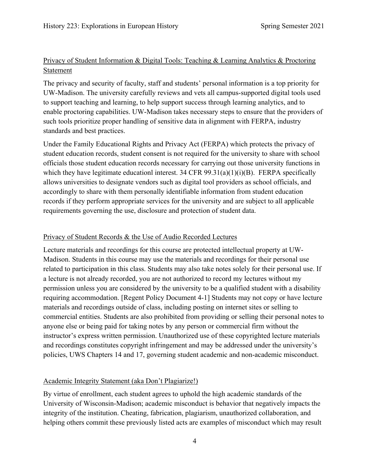# Privacy of Student Information & Digital Tools: Teaching & Learning Analytics & Proctoring Statement

The privacy and security of faculty, staff and students' personal information is a top priority for UW-Madison. The university carefully reviews and vets all campus-supported digital tools used to support teaching and learning, to help support success through learning analytics, and to enable proctoring capabilities. UW-Madison takes necessary steps to ensure that the providers of such tools prioritize proper handling of sensitive data in alignment with FERPA, industry standards and best practices.

Under the Family Educational Rights and Privacy Act (FERPA) which protects the privacy of student education records, student consent is not required for the university to share with school officials those student education records necessary for carrying out those university functions in which they have legitimate educationl interest. 34 CFR  $99.31(a)(1)(i)(B)$ . FERPA specifically allows universities to designate vendors such as digital tool providers as school officials, and accordingly to share with them personally identifiable information from student education records if they perform appropriate services for the university and are subject to all applicable requirements governing the use, disclosure and protection of student data.

#### Privacy of Student Records & the Use of Audio Recorded Lectures

Lecture materials and recordings for this course are protected intellectual property at UW-Madison. Students in this course may use the materials and recordings for their personal use related to participation in this class. Students may also take notes solely for their personal use. If a lecture is not already recorded, you are not authorized to record my lectures without my permission unless you are considered by the university to be a qualified student with a disability requiring accommodation. [Regent Policy Document 4-1] Students may not copy or have lecture materials and recordings outside of class, including posting on internet sites or selling to commercial entities. Students are also prohibited from providing or selling their personal notes to anyone else or being paid for taking notes by any person or commercial firm without the instructor's express written permission. Unauthorized use of these copyrighted lecture materials and recordings constitutes copyright infringement and may be addressed under the university's policies, UWS Chapters 14 and 17, governing student academic and non-academic misconduct.

# Academic Integrity Statement (aka Don't Plagiarize!)

By virtue of enrollment, each student agrees to uphold the high academic standards of the University of Wisconsin-Madison; academic misconduct is behavior that negatively impacts the integrity of the institution. Cheating, fabrication, plagiarism, unauthorized collaboration, and helping others commit these previously listed acts are examples of misconduct which may result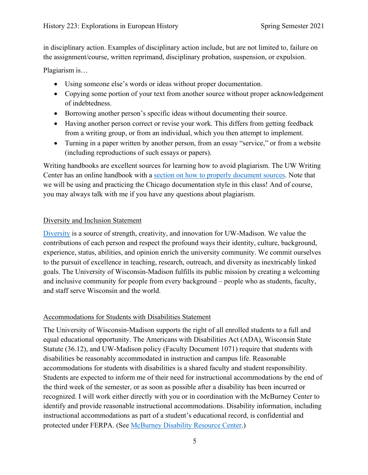in disciplinary action. Examples of disciplinary action include, but are not limited to, failure on the assignment/course, written reprimand, disciplinary probation, suspension, or expulsion.

Plagiarism is…

- Using someone else's words or ideas without proper documentation.
- Copying some portion of your text from another source without proper acknowledgement of indebtedness.
- Borrowing another person's specific ideas without documenting their source.
- Having another person correct or revise your work. This differs from getting feedback from a writing group, or from an individual, which you then attempt to implement.
- Turning in a paper written by another person, from an essay "service," or from a website (including reproductions of such essays or papers).

Writing handbooks are excellent sources for learning how to avoid plagiarism. The UW Writing Center has an online handbook with a section on how to properly document sources. Note that we will be using and practicing the Chicago documentation style in this class! And of course, you may always talk with me if you have any questions about plagiarism.

## Diversity and Inclusion Statement

Diversity is a source of strength, creativity, and innovation for UW-Madison. We value the contributions of each person and respect the profound ways their identity, culture, background, experience, status, abilities, and opinion enrich the university community. We commit ourselves to the pursuit of excellence in teaching, research, outreach, and diversity as inextricably linked goals. The University of Wisconsin-Madison fulfills its public mission by creating a welcoming and inclusive community for people from every background – people who as students, faculty, and staff serve Wisconsin and the world.

# Accommodations for Students with Disabilities Statement

The University of Wisconsin-Madison supports the right of all enrolled students to a full and equal educational opportunity. The Americans with Disabilities Act (ADA), Wisconsin State Statute (36.12), and UW-Madison policy (Faculty Document 1071) require that students with disabilities be reasonably accommodated in instruction and campus life. Reasonable accommodations for students with disabilities is a shared faculty and student responsibility. Students are expected to inform me of their need for instructional accommodations by the end of the third week of the semester, or as soon as possible after a disability has been incurred or recognized. I will work either directly with you or in coordination with the McBurney Center to identify and provide reasonable instructional accommodations. Disability information, including instructional accommodations as part of a student's educational record, is confidential and protected under FERPA. (See McBurney Disability Resource Center.)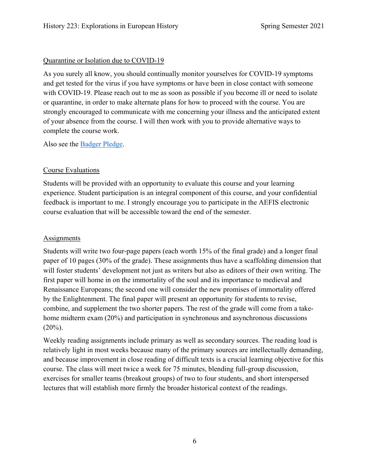#### Quarantine or Isolation due to COVID-19

As you surely all know, you should continually monitor yourselves for COVID-19 symptoms and get tested for the virus if you have symptoms or have been in close contact with someone with COVID-19. Please reach out to me as soon as possible if you become ill or need to isolate or quarantine, in order to make alternate plans for how to proceed with the course. You are strongly encouraged to communicate with me concerning your illness and the anticipated extent of your absence from the course. I will then work with you to provide alternative ways to complete the course work.

Also see the Badger Pledge.

# Course Evaluations

Students will be provided with an opportunity to evaluate this course and your learning experience. Student participation is an integral component of this course, and your confidential feedback is important to me. I strongly encourage you to participate in the AEFIS electronic course evaluation that will be accessible toward the end of the semester.

#### **Assignments**

Students will write two four-page papers (each worth 15% of the final grade) and a longer final paper of 10 pages (30% of the grade). These assignments thus have a scaffolding dimension that will foster students' development not just as writers but also as editors of their own writing. The first paper will home in on the immortality of the soul and its importance to medieval and Renaissance Europeans; the second one will consider the new promises of immortality offered by the Enlightenment. The final paper will present an opportunity for students to revise, combine, and supplement the two shorter papers. The rest of the grade will come from a takehome midterm exam (20%) and participation in synchronous and asynchronous discussions  $(20\%)$ .

Weekly reading assignments include primary as well as secondary sources. The reading load is relatively light in most weeks because many of the primary sources are intellectually demanding, and because improvement in close reading of difficult texts is a crucial learning objective for this course. The class will meet twice a week for 75 minutes, blending full-group discussion, exercises for smaller teams (breakout groups) of two to four students, and short interspersed lectures that will establish more firmly the broader historical context of the readings.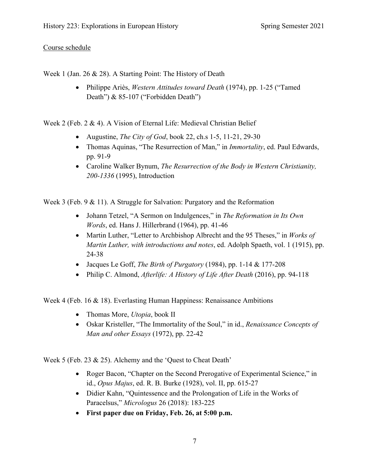### Course schedule

Week 1 (Jan. 26 & 28). A Starting Point: The History of Death

 Philippe Ariès, *Western Attitudes toward Death* (1974), pp. 1-25 ("Tamed Death") & 85-107 ("Forbidden Death")

Week 2 (Feb. 2 & 4). A Vision of Eternal Life: Medieval Christian Belief

- Augustine, *The City of God*, book 22, ch.s 1-5, 11-21, 29-30
- Thomas Aquinas, "The Resurrection of Man," in *Immortality*, ed. Paul Edwards, pp. 91-9
- Caroline Walker Bynum, *The Resurrection of the Body in Western Christianity, 200-1336* (1995), Introduction

Week 3 (Feb. 9 & 11). A Struggle for Salvation: Purgatory and the Reformation

- Johann Tetzel, "A Sermon on Indulgences," in *The Reformation in Its Own Words*, ed. Hans J. Hillerbrand (1964), pp. 41-46
- Martin Luther, "Letter to Archbishop Albrecht and the 95 Theses," in *Works of Martin Luther, with introductions and notes*, ed. Adolph Spaeth, vol. 1 (1915), pp. 24-38
- Jacques Le Goff, *The Birth of Purgatory* (1984), pp. 1-14 & 177-208
- Philip C. Almond, *Afterlife: A History of Life After Death* (2016), pp. 94-118

Week 4 (Feb. 16 & 18). Everlasting Human Happiness: Renaissance Ambitions

- Thomas More, *Utopia*, book II
- Oskar Kristeller, "The Immortality of the Soul," in id., *Renaissance Concepts of Man and other Essays* (1972), pp. 22-42

Week 5 (Feb. 23 & 25). Alchemy and the 'Quest to Cheat Death'

- Roger Bacon, "Chapter on the Second Prerogative of Experimental Science," in id., *Opus Majus*, ed. R. B. Burke (1928), vol. II, pp. 615-27
- Didier Kahn, "Quintessence and the Prolongation of Life in the Works of Paracelsus," *Micrologus* 26 (2018): 183-225
- **First paper due on Friday, Feb. 26, at 5:00 p.m.**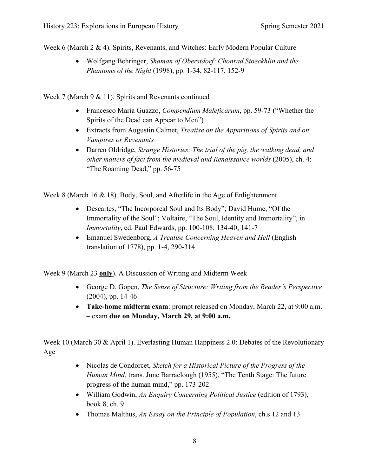Week 6 (March 2 & 4). Spirits, Revenants, and Witches: Early Modern Popular Culture

 Wolfgang Behringer, *Shaman of Oberstdorf: Chonrad Stoeckhlin and the Phantoms of the Night* (1998), pp. 1-34, 82-117, 152-9

Week 7 (March 9 & 11). Spirits and Revenants continued

- Francesco Maria Guazzo, *Compendium Maleficarum*, pp. 59-73 ("Whether the Spirits of the Dead can Appear to Men")
- Extracts from Augustin Calmet, *Treatise on the Apparitions of Spirits and on Vampires or Revenants*
- Darren Oldridge, *Strange Histories: The trial of the pig, the walking dead, and other matters of fact from the medieval and Renaissance worlds* (2005), ch. 4: "The Roaming Dead," pp. 56-75

Week 8 (March 16 & 18). Body, Soul, and Afterlife in the Age of Enlightenment

- Descartes, "The Incorporeal Soul and Its Body"; David Hume, "Of the Immortality of the Soul"; Voltaire, "The Soul, Identity and Immortality", in *Immortality*, ed. Paul Edwards, pp. 100-108; 134-40; 141-7
- Emanuel Swedenborg, *A Treatise Concerning Heaven and Hell* (English translation of 1778), pp. 1-4, 290-314

Week 9 (March 23 **only**). A Discussion of Writing and Midterm Week

- George D. Gopen, *The Sense of Structure: Writing from the Reader's Perspective* (2004), pp. 14-46
- **Take-home midterm exam**: prompt released on Monday, March 22, at 9:00 a.m. – exam **due on Monday, March 29, at 9:00 a.m.**

Week 10 (March 30 & April 1). Everlasting Human Happiness 2.0: Debates of the Revolutionary Age

- Nicolas de Condorcet, *Sketch for a Historical Picture of the Progress of the Human Mind*, trans. June Barraclough (1955), "The Tenth Stage: The future progress of the human mind," pp. 173-202
- William Godwin, *An Enquiry Concerning Political Justice* (edition of 1793), book 8, ch. 9
- Thomas Malthus, *An Essay on the Principle of Population*, ch.s 12 and 13